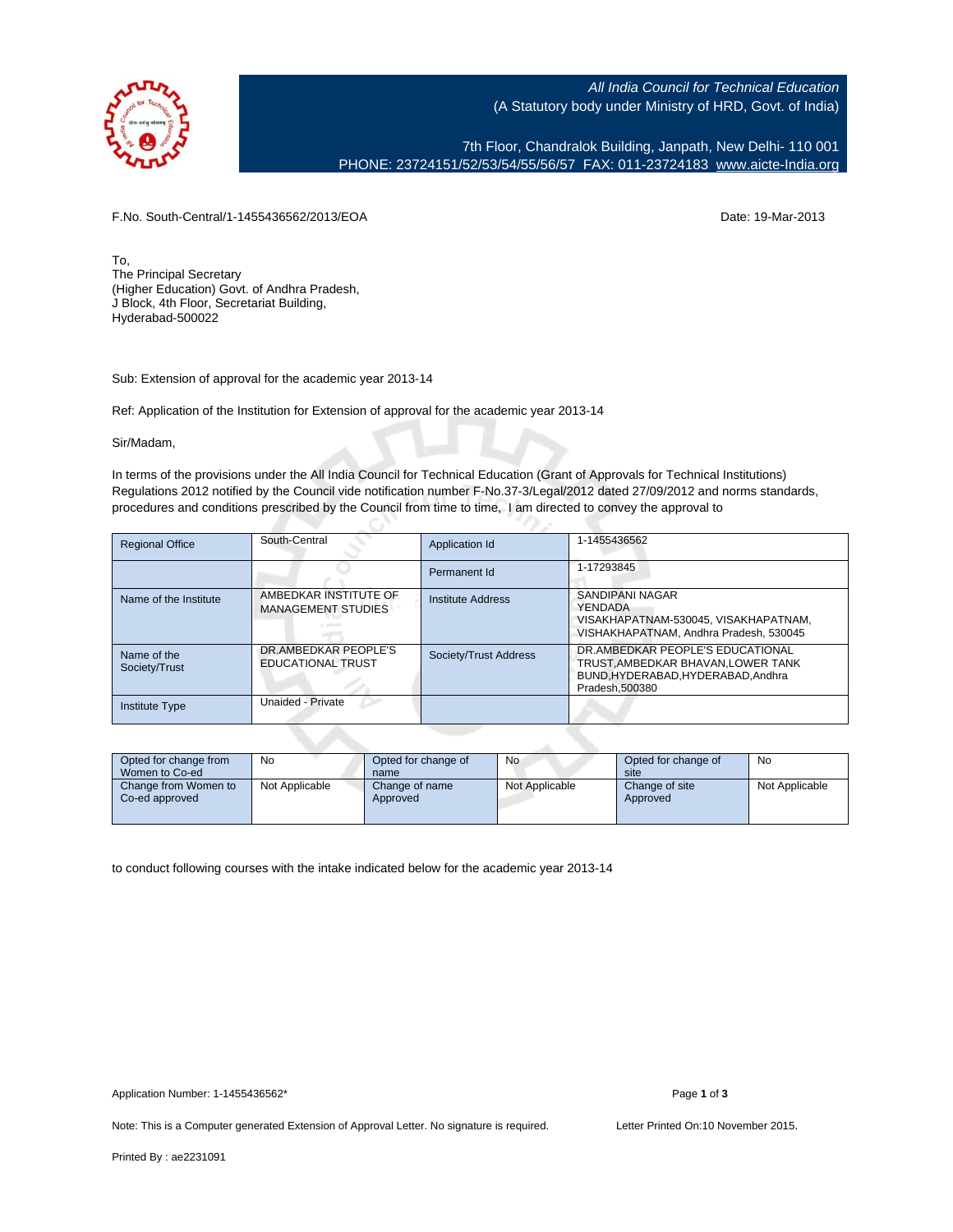

All India Council for Technical Education (A Statutory body under Ministry of HRD, Govt. of India)

7th Floor, Chandralok Building, Janpath, New Delhi- 110 001 PHONE: 23724151/52/53/54/55/56/57 FAX: 011-23724183 [www.aicte-India.org](http://www.aicte-India.org)

F.No. South-Central/1-1455436562/2013/EOA Date: 19-Mar-2013

To, The Principal Secretary (Higher Education) Govt. of Andhra Pradesh, J Block, 4th Floor, Secretariat Building, Hyderabad-500022

Sub: Extension of approval for the academic year 2013-14

Ref: Application of the Institution for Extension of approval for the academic year 2013-14

с.

Sir/Madam,

In terms of the provisions under the All India Council for Technical Education (Grant of Approvals for Technical Institutions) Regulations 2012 notified by the Council vide notification number F-No.37-3/Legal/2012 dated 27/09/2012 and norms standards, procedures and conditions prescribed by the Council from time to time, I am directed to convey the approval to

| <b>Regional Office</b>       | South-Central                                      | Application Id        | 1-1455436562                                                                                                              |
|------------------------------|----------------------------------------------------|-----------------------|---------------------------------------------------------------------------------------------------------------------------|
|                              |                                                    | Permanent Id          | 1-17293845                                                                                                                |
| Name of the Institute        | AMBEDKAR INSTITUTE OF<br><b>MANAGEMENT STUDIES</b> | Institute Address     | SANDIPANI NAGAR<br>YENDADA<br>VISAKHAPATNAM-530045. VISAKHAPATNAM.<br>VISHAKHAPATNAM, Andhra Pradesh, 530045              |
| Name of the<br>Society/Trust | DR.AMBEDKAR PEOPLE'S<br><b>EDUCATIONAL TRUST</b>   | Society/Trust Address | DR.AMBEDKAR PEOPLE'S EDUCATIONAL<br>TRUST AMBEDKAR BHAVAN LOWER TANK<br>BUND.HYDERABAD.HYDERABAD.Andhra<br>Pradesh.500380 |
| <b>Institute Type</b>        | Unaided - Private                                  |                       |                                                                                                                           |

| Opted for change from<br>Women to Co-ed | No             | Opted for change of<br>name | No             | Opted for change of<br>site | No             |
|-----------------------------------------|----------------|-----------------------------|----------------|-----------------------------|----------------|
| Change from Women to<br>Co-ed approved  | Not Applicable | Change of name<br>Approved  | Not Applicable | Change of site<br>Approved  | Not Applicable |

to conduct following courses with the intake indicated below for the academic year 2013-14

Note: This is a Computer generated Extension of Approval Letter. No signature is required. Letter Printed On:10 November 2015.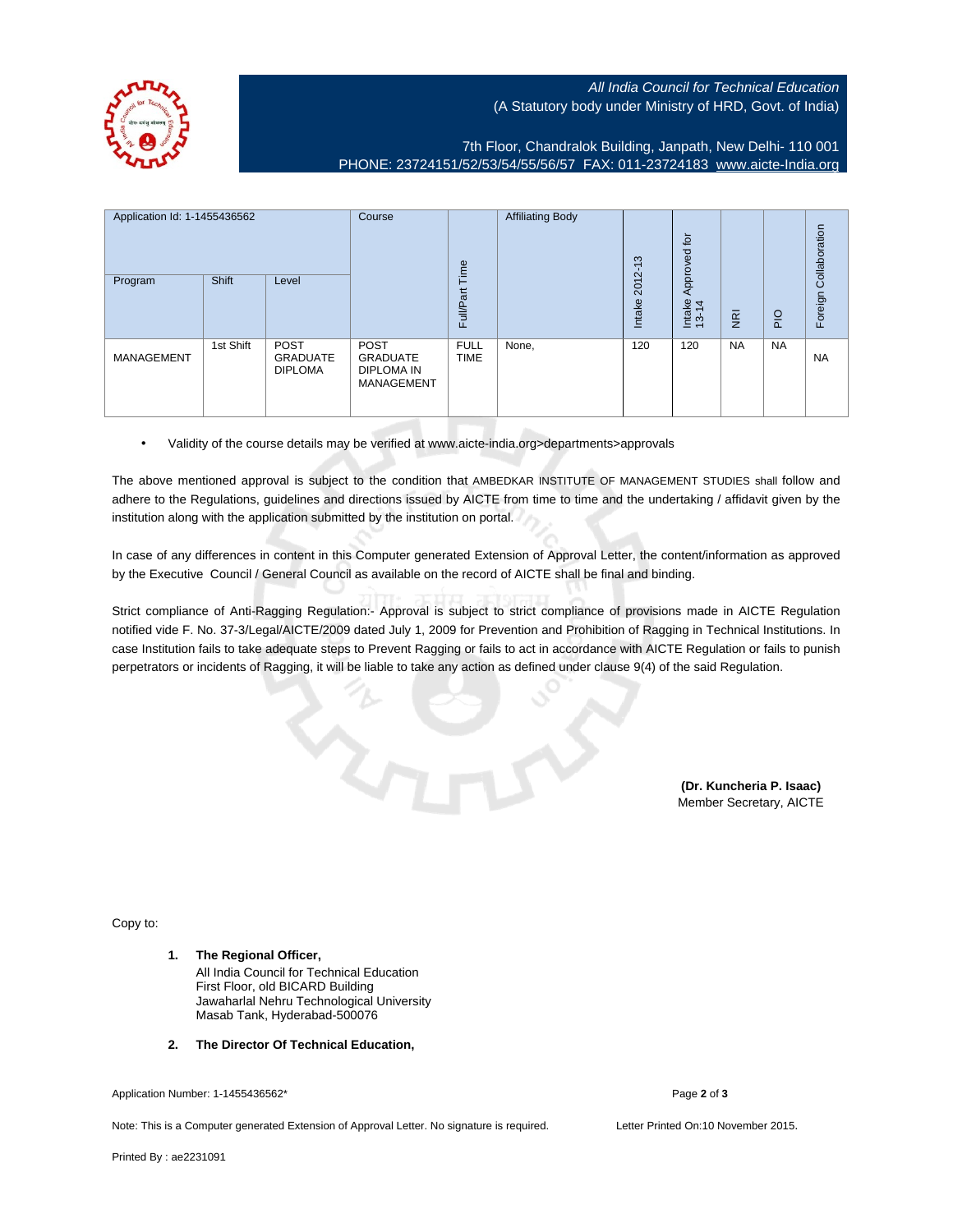## All India Council for Technical Education (A Statutory body under Ministry of HRD, Govt. of India)

7th Floor, Chandralok Building, Janpath, New Delhi- 110 001 PHONE: 23724151/52/53/54/55/56/57 FAX: 011-23724183 [www.aicte-India.org](http://www.aicte-India.org)

| Application Id: 1-1455436562 |           | Course<br>Time                                   | <b>Affiliating Body</b>                                           | $\infty$<br>$\overline{\phantom{0}}$ | Approved for |                |                 | Collaboration           |                |           |
|------------------------------|-----------|--------------------------------------------------|-------------------------------------------------------------------|--------------------------------------|--------------|----------------|-----------------|-------------------------|----------------|-----------|
| Program                      | Shift     | Level                                            |                                                                   | Full/Part                            |              | 2012<br>Intake | Intake<br>13-14 | $\overline{\mathbf{g}}$ | $\overline{P}$ | Foreign   |
| MANAGEMENT                   | 1st Shift | <b>POST</b><br><b>GRADUATE</b><br><b>DIPLOMA</b> | <b>POST</b><br><b>GRADUATE</b><br>DIPLOMA IN<br><b>MANAGEMENT</b> | <b>FULL</b><br><b>TIME</b>           | None,        | 120            | 120             | <b>NA</b>               | <b>NA</b>      | <b>NA</b> |

• Validity of the course details may be verified at www.aicte-india.org>departments>approvals

The above mentioned approval is subject to the condition that AMBEDKAR INSTITUTE OF MANAGEMENT STUDIES shall follow and adhere to the Regulations, guidelines and directions issued by AICTE from time to time and the undertaking / affidavit given by the institution along with the application submitted by the institution on portal.

In case of any differences in content in this Computer generated Extension of Approval Letter, the content/information as approved by the Executive Council / General Council as available on the record of AICTE shall be final and binding.

Strict compliance of Anti-Ragging Regulation:- Approval is subject to strict compliance of provisions made in AICTE Regulation notified vide F. No. 37-3/Legal/AICTE/2009 dated July 1, 2009 for Prevention and Prohibition of Ragging in Technical Institutions. In case Institution fails to take adequate steps to Prevent Ragging or fails to act in accordance with AICTE Regulation or fails to punish perpetrators or incidents of Ragging, it will be liable to take any action as defined under clause 9(4) of the said Regulation.

> **(Dr. Kuncheria P. Isaac)** Member Secretary, AICTE

Copy to:

- **1. The Regional Officer,** All India Council for Technical Education First Floor, old BICARD Building Jawaharlal Nehru Technological University Masab Tank, Hyderabad-500076
- **2. The Director Of Technical Education,**

Application Number: 1-1455436562\* Page **2** of **3**

Note: This is a Computer generated Extension of Approval Letter. No signature is required. Letter Printed On:10 November 2015.